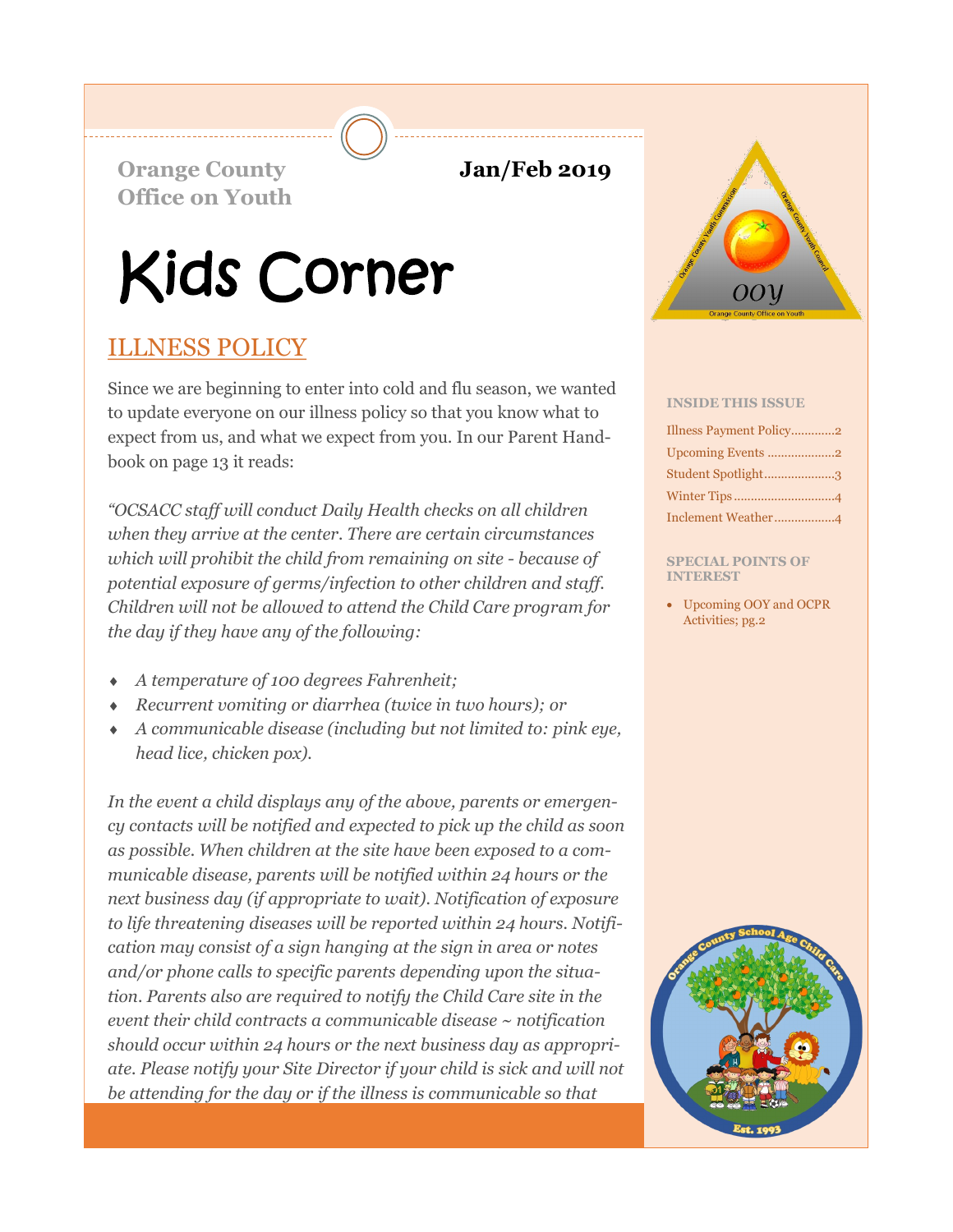**Orange County 5 12019 Office on Youth**

# Kids Corner

# ILLNESS POLICY

Since we are beginning to enter into cold and flu season, we wanted to update everyone on our illness policy so that you know what to expect from us, and what we expect from you. In our Parent Handbook on page 13 it reads:

*"OCSACC staff will conduct Daily Health checks on all children when they arrive at the center. There are certain circumstances which will prohibit the child from remaining on site - because of potential exposure of germs/infection to other children and staff. Children will not be allowed to attend the Child Care program for the day if they have any of the following:* 

- *A temperature of 100 degrees Fahrenheit;*
- *Recurrent vomiting or diarrhea (twice in two hours); or*
- *A communicable disease (including but not limited to: pink eye, head lice, chicken pox).*

*In the event a child displays any of the above, parents or emergency contacts will be notified and expected to pick up the child as soon as possible. When children at the site have been exposed to a communicable disease, parents will be notified within 24 hours or the next business day (if appropriate to wait). Notification of exposure to life threatening diseases will be reported within 24 hours. Notification may consist of a sign hanging at the sign in area or notes and/or phone calls to specific parents depending upon the situation. Parents also are required to notify the Child Care site in the event their child contracts a communicable disease ~ notification should occur within 24 hours or the next business day as appropriate. Please notify your Site Director if your child is sick and will not be attending for the day or if the illness is communicable so that* 



#### **INSIDE THIS ISSUE**

| Illness Payment Policy2 |
|-------------------------|
| Upcoming Events 2       |
| Student Spotlight3      |
|                         |
|                         |

#### **SPECIAL POINTS OF INTEREST**

• Upcoming OOY and OCPR Activities; pg.2

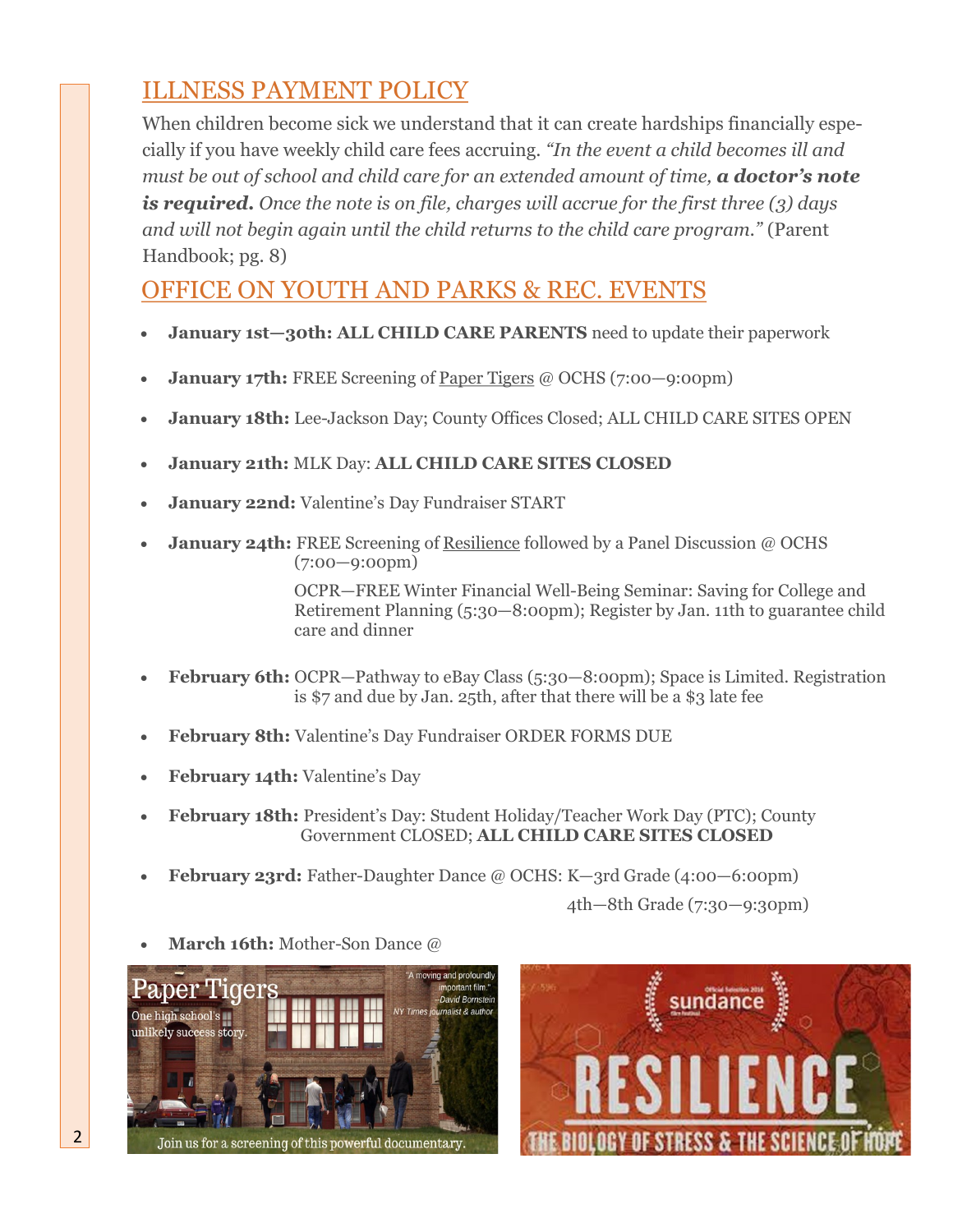# ILLNESS PAYMENT POLICY

When children become sick we understand that it can create hardships financially especially if you have weekly child care fees accruing. *"In the event a child becomes ill and must be out of school and child care for an extended amount of time, a doctor's note is required. Once the note is on file, charges will accrue for the first three (3) days and will not begin again until the child returns to the child care program."* (Parent Handbook; pg. 8)

## OFFICE ON YOUTH AND PARKS & REC. EVENTS

- **January 1st—30th: ALL CHILD CARE PARENTS** need to update their paperwork
- **January 17th:** FREE Screening of Paper Tigers @ OCHS (7:00–9:00pm)
- **January 18th:** Lee-Jackson Day; County Offices Closed; ALL CHILD CARE SITES OPEN
- **January 21th:** MLK Day: **ALL CHILD CARE SITES CLOSED**
- **January 22nd:** Valentine's Day Fundraiser START
- **January 24th:** FREE Screening of Resilience followed by a Panel Discussion @ OCHS (7:00—9:00pm)

OCPR—FREE Winter Financial Well-Being Seminar: Saving for College and Retirement Planning (5:30—8:00pm); Register by Jan. 11th to guarantee child care and dinner

- **February 6th:** OCPR—Pathway to eBay Class (5:30—8:00pm); Space is Limited. Registration is \$7 and due by Jan. 25th, after that there will be a \$3 late fee
- **February 8th:** Valentine's Day Fundraiser ORDER FORMS DUE
- **February 14th:** Valentine's Day
- **February 18th:** President's Day: Student Holiday/Teacher Work Day (PTC); County Government CLOSED; **ALL CHILD CARE SITES CLOSED**
- **February 23rd:** Father-Daughter Dance @ OCHS: K—3rd Grade (4:00—6:00pm)

4th—8th Grade (7:30—9:30pm)

• **March 16th:** Mother-Son Dance @





2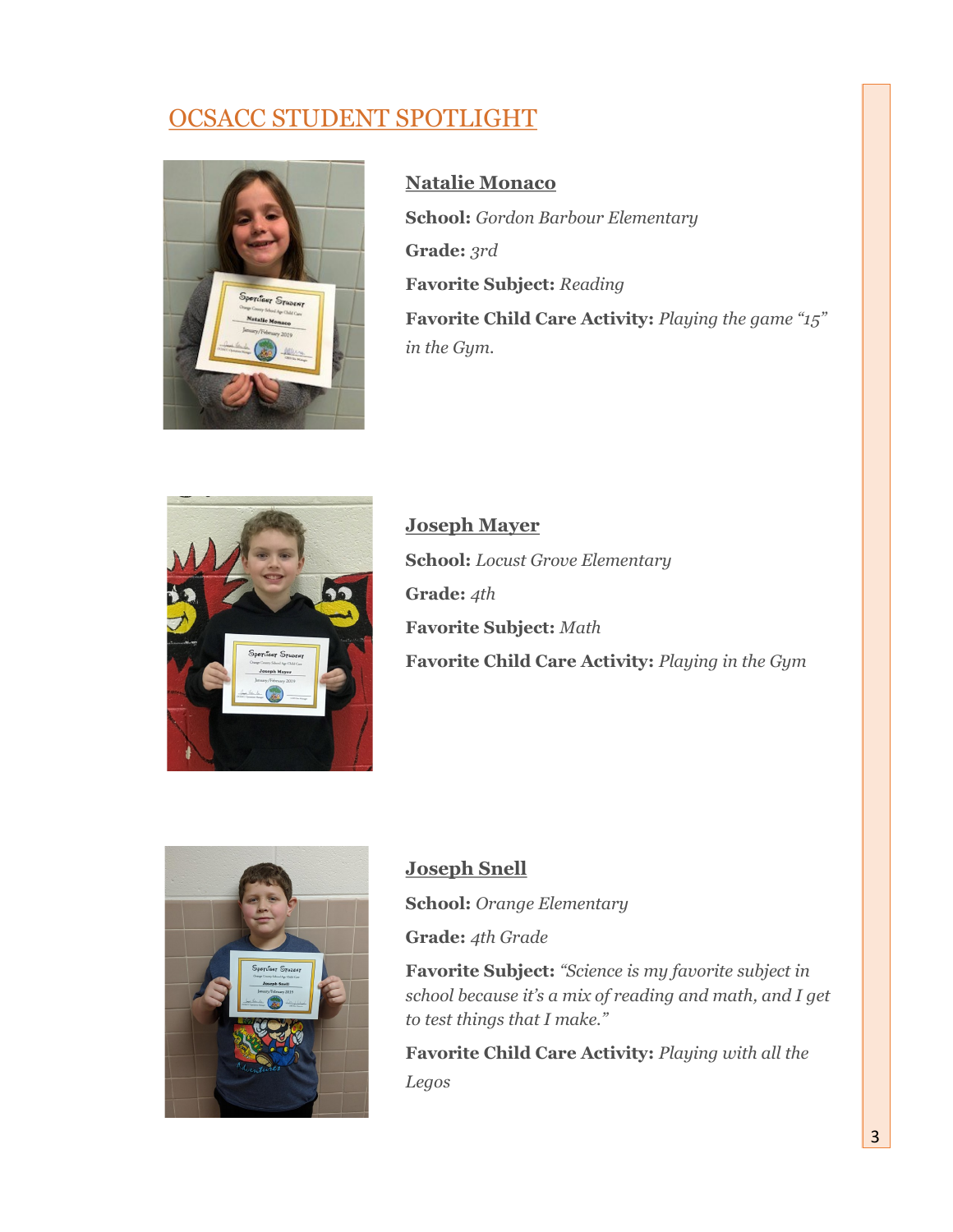# OCSACC STUDENT SPOTLIGHT



**Natalie Monaco School:** *Gordon Barbour Elementary* **Grade:** *3rd* **Favorite Subject:** *Reading* **Favorite Child Care Activity:** *Playing the game "15" in the Gym.*



**Joseph Mayer School:** *Locust Grove Elementary* **Grade:** *4th* **Favorite Subject:** *Math* **Favorite Child Care Activity:** *Playing in the Gym*



### **Joseph Snell**

**School:** *Orange Elementary* **Grade:** *4th Grade*

**Favorite Subject:** *"Science is my favorite subject in school because it's a mix of reading and math, and I get to test things that I make."*

**Favorite Child Care Activity:** *Playing with all the Legos*